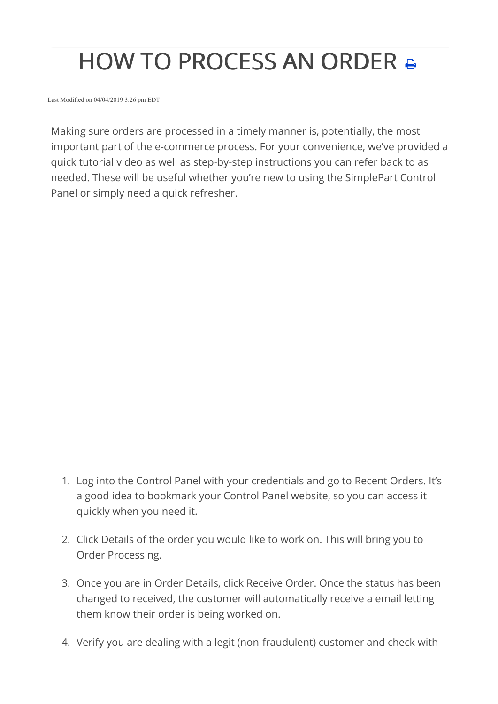## **HOW TO PROCESS AN ORDER &**

Last Modified on 04/04/2019 3:26 pm EDT

Making sure orders are processed in a timely manner is, potentially, the most important part of the e-commerce process. For your convenience, we've provided a quick tutorial video as well as step-by-step instructions you can refer back to as needed. These will be useful whether you're new to using the SimplePart Control Panel or simply need a quick refresher.

- 1. Log into the Control Panel with your credentials and go to Recent Orders. It's a good idea to bookmark your Control Panel website, so you can access it quickly when you need it.
- 2. Click Details of the order you would like to work on. This will bring you to Order Processing.
- 3. Once you are in Order Details, click Receive Order. Once the status has been changed to received, the customer will automatically receive a email letting them know their order is being worked on.
- 4. Verify you are dealing with a legit (non-fraudulent) customer and check with